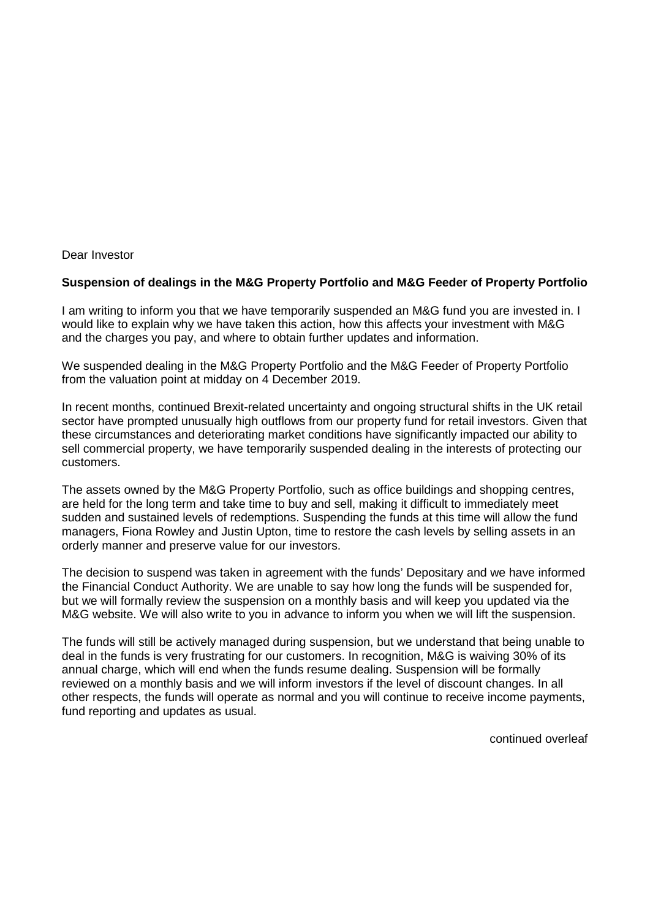## Dear Investor

## **Suspension of dealings in the M&G Property Portfolio and M&G Feeder of Property Portfolio**

I am writing to inform you that we have temporarily suspended an M&G fund you are invested in. I would like to explain why we have taken this action, how this affects your investment with M&G and the charges you pay, and where to obtain further updates and information.

We suspended dealing in the M&G Property Portfolio and the M&G Feeder of Property Portfolio from the valuation point at midday on 4 December 2019.

In recent months, continued Brexit-related uncertainty and ongoing structural shifts in the UK retail sector have prompted unusually high outflows from our property fund for retail investors. Given that these circumstances and deteriorating market conditions have significantly impacted our ability to sell commercial property, we have temporarily suspended dealing in the interests of protecting our customers.

The assets owned by the M&G Property Portfolio, such as office buildings and shopping centres, are held for the long term and take time to buy and sell, making it difficult to immediately meet sudden and sustained levels of redemptions. Suspending the funds at this time will allow the fund managers, Fiona Rowley and Justin Upton, time to restore the cash levels by selling assets in an orderly manner and preserve value for our investors.

The decision to suspend was taken in agreement with the funds' Depositary and we have informed the Financial Conduct Authority. We are unable to say how long the funds will be suspended for, but we will formally review the suspension on a monthly basis and will keep you updated via the M&G website. We will also write to you in advance to inform you when we will lift the suspension.

The funds will still be actively managed during suspension, but we understand that being unable to deal in the funds is very frustrating for our customers. In recognition, M&G is waiving 30% of its annual charge, which will end when the funds resume dealing. Suspension will be formally reviewed on a monthly basis and we will inform investors if the level of discount changes. In all other respects, the funds will operate as normal and you will continue to receive income payments, fund reporting and updates as usual.

continued overleaf